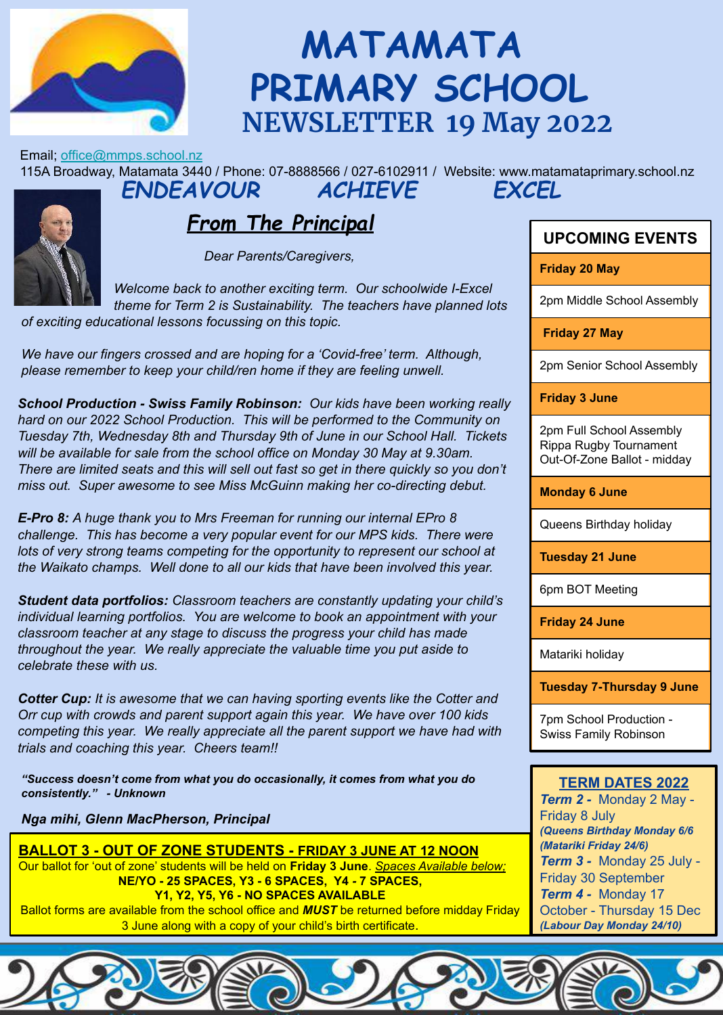

# **MATAMATA PRIMARY SCHOOL NEWSLETTER 19 May 2022**

Email; office@mmps.school.nz

115A Broadway, Matamata 3440 / Phone: 07-8888566 / 027-6102911 / Website: www.matamataprimary.school.nz *ENDEAVOUR ACHIEVE EXCEL*

#### *From The Principal*

 *Dear Parents/Caregivers,*

 *of exciting educational lessons focussing on this topic. Welcome back to another exciting term. Our schoolwide I-Excel theme for Term 2 is Sustainability. The teachers have planned lots* 

 *We have our fingers crossed and are hoping for a 'Covid-free' term. Although, please remember to keep your child/ren home if they are feeling unwell.*

 *School Production - Swiss Family Robinson: Our kids have been working really hard on our 2022 School Production. This will be performed to the Community on Tuesday 7th, Wednesday 8th and Thursday 9th of June in our School Hall. Tickets will be available for sale from the school office on Monday 30 May at 9.30am. There are limited seats and this will sell out fast so get in there quickly so you don't miss out. Super awesome to see Miss McGuinn making her co-directing debut.*

 *E-Pro 8: A huge thank you to Mrs Freeman for running our internal EPro 8 challenge. This has become a very popular event for our MPS kids. There were lots of very strong teams competing for the opportunity to represent our school at the Waikato champs. Well done to all our kids that have been involved this year.*

 *Student data portfolios: Classroom teachers are constantly updating your child's individual learning portfolios. You are welcome to book an appointment with your classroom teacher at any stage to discuss the progress your child has made throughout the year. We really appreciate the valuable time you put aside to celebrate these with us.*

 *Cotter Cup: It is awesome that we can having sporting events like the Cotter and Orr cup with crowds and parent support again this year. We have over 100 kids competing this year. We really appreciate all the parent support we have had with trials and coaching this year. Cheers team!!*

*"Success doesn't come from what you do occasionally, it comes from what you do consistently." - Unknown*

*Nga mihi, Glenn MacPherson, Principal*

**BALLOT 3 - OUT OF ZONE STUDENTS - FRIDAY 3 JUNE AT 12 NOON** Our ballot for 'out of zone' students will be held on **Friday 3 June**. *Spaces Available below;* **NE/YO - 25 SPACES, Y3 - 6 SPACES, Y4** *-* **7 SPACES, Y1, Y2, Y5, Y6 - NO SPACES AVAILABLE** Ballot forms are available from the school office and *MUST* be returned before midday Friday

3 June along with a copy of your child's birth certificate.

#### **UPCOMING EVENTS**

**Friday 20 May** 

2pm Middle School Assembly

 **Friday 27 May**

2pm Senior School Assembly

**Friday 3 June**

2pm Full School Assembly Rippa Rugby Tournament Out-Of-Zone Ballot - midday

**Monday 6 June**

Queens Birthday holiday

**Tuesday 21 June**

6pm BOT Meeting

**Friday 24 June**

Matariki holiday

**Tuesday 7-Thursday 9 June**

7pm School Production - Swiss Family Robinson

#### **TERM DATES 2022**

*Term 2 -* Monday 2 May - Friday 8 July *(Queens Birthday Monday 6/6 (Matariki Friday 24/6) Term 3 -* Monday 25 July - Friday 30 September *Term 4 -* Monday 17 October - Thursday 15 Dec *(Labour Day Monday 24/10)*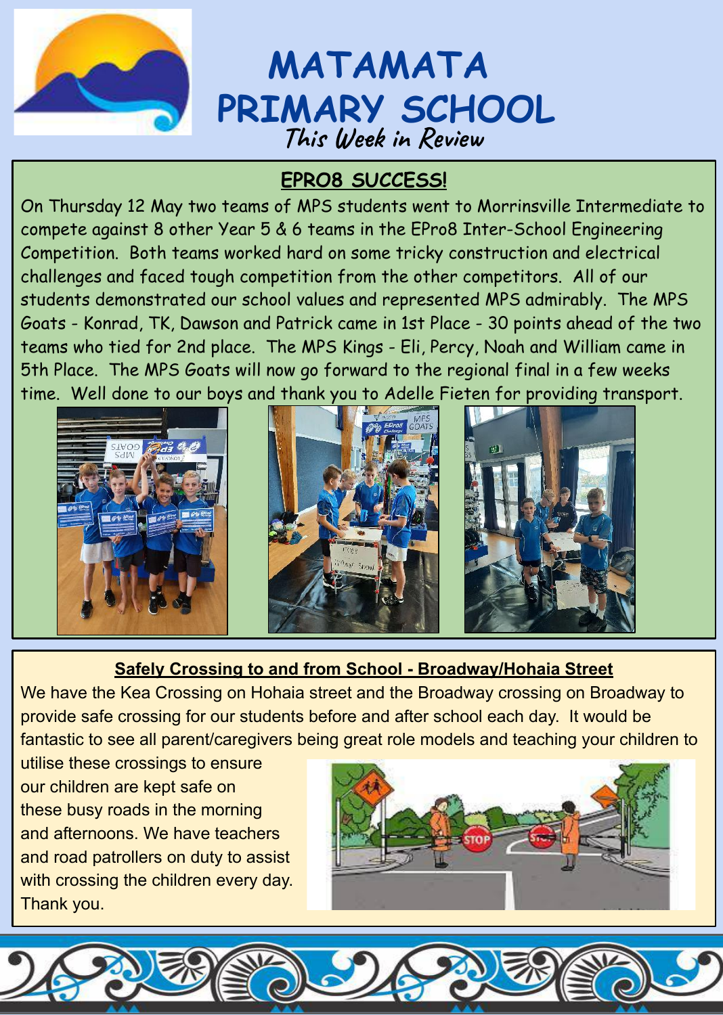

## **MATAMATA PRIMARY SCHOOL This Week in Review**

## **EPRO8 SUCCESS!**

On Thursday 12 May two teams of MPS students went to Morrinsville Intermediate to compete against 8 other Year 5 & 6 teams in the EPro8 Inter-School Engineering Competition. Both teams worked hard on some tricky construction and electrical challenges and faced tough competition from the other competitors. All of our students demonstrated our school values and represented MPS admirably. The MPS Goats - Konrad, TK, Dawson and Patrick came in 1st Place - 30 points ahead of the two teams who tied for 2nd place. The MPS Kings - Eli, Percy, Noah and William came in 5th Place. The MPS Goats will now go forward to the regional final in a few weeks time. Well done to our boys and thank you to Adelle Fieten for providing transport.



#### **Safely Crossing to and from School - Broadway/Hohaia Street**

We have the Kea Crossing on Hohaia street and the Broadway crossing on Broadway to provide safe crossing for our students before and after school each day. It would be fantastic to see all parent/caregivers being great role models and teaching your children to

utilise these crossings to ensure our children are kept safe on these busy roads in the morning and afternoons. We have teachers and road patrollers on duty to assist with crossing the children every day. Thank you.

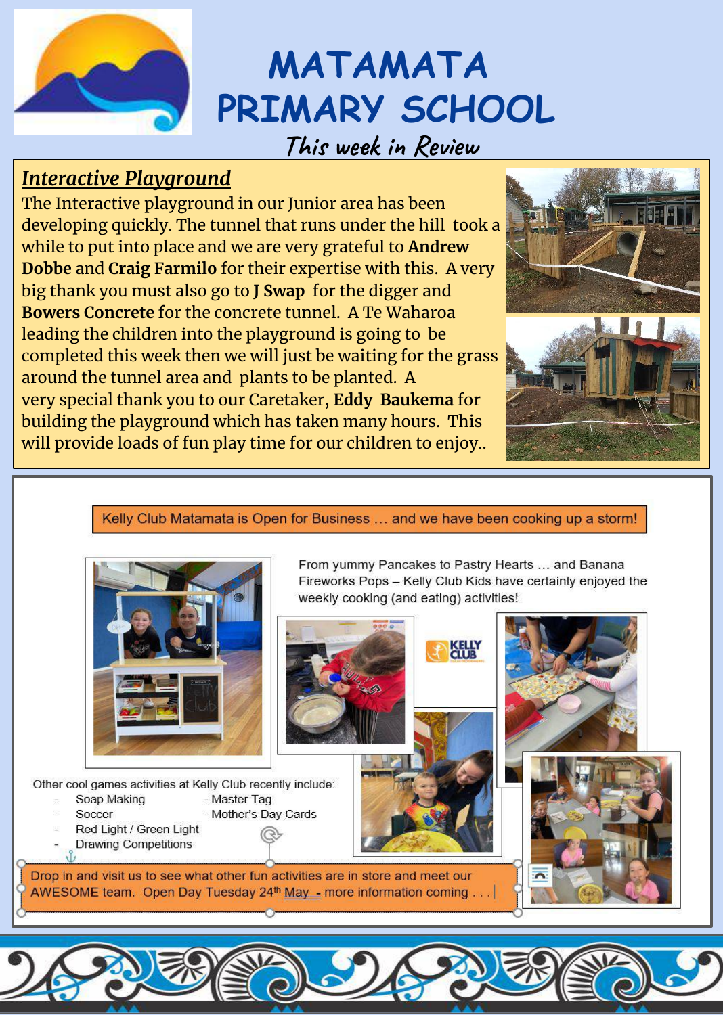

# **MATAMATA PRIMARY SCHOOL**

## **This week in Review**

## *Interactive Playground*

The Interactive playground in our Junior area has been developing quickly. The tunnel that runs under the hill took a while to put into place and we are very grateful to **Andrew Dobbe** and **Craig Farmilo** for their expertise with this. A very big thank you must also go to **J Swap** for the digger and **Bowers Concrete** for the concrete tunnel. A Te Waharoa leading the children into the playground is going to be completed this week then we will just be waiting for the grass around the tunnel area and plants to be planted. A very special thank you to our Caretaker, **Eddy Baukema** for building the playground which has taken many hours. This will provide loads of fun play time for our children to enjoy..



#### Kelly Club Matamata is Open for Business ... and we have been cooking up a storm!